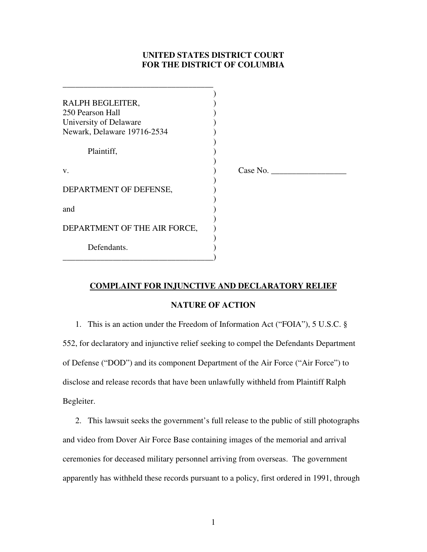# **UNITED STATES DISTRICT COURT FOR THE DISTRICT OF COLUMBIA**

| RALPH BEGLEITER,             |          |
|------------------------------|----------|
| 250 Pearson Hall             |          |
| University of Delaware       |          |
| Newark, Delaware 19716-2534  |          |
|                              |          |
| Plaintiff,                   |          |
|                              |          |
| V.                           | Case No. |
|                              |          |
| DEPARTMENT OF DEFENSE,       |          |
|                              |          |
| and                          |          |
|                              |          |
| DEPARTMENT OF THE AIR FORCE, |          |
|                              |          |
| Defendants.                  |          |
|                              |          |

# **COMPLAINT FOR INJUNCTIVE AND DECLARATORY RELIEF**

### **NATURE OF ACTION**

1. This is an action under the Freedom of Information Act ("FOIA"), 5 U.S.C. § 552, for declaratory and injunctive relief seeking to compel the Defendants Department of Defense ("DOD") and its component Department of the Air Force ("Air Force") to disclose and release records that have been unlawfully withheld from Plaintiff Ralph Begleiter.

2. This lawsuit seeks the government's full release to the public of still photographs and video from Dover Air Force Base containing images of the memorial and arrival ceremonies for deceased military personnel arriving from overseas. The government apparently has withheld these records pursuant to a policy, first ordered in 1991, through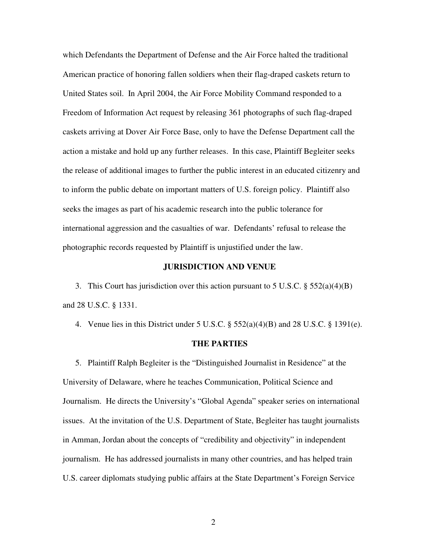which Defendants the Department of Defense and the Air Force halted the traditional American practice of honoring fallen soldiers when their flag-draped caskets return to United States soil. In April 2004, the Air Force Mobility Command responded to a Freedom of Information Act request by releasing 361 photographs of such flag-draped caskets arriving at Dover Air Force Base, only to have the Defense Department call the action a mistake and hold up any further releases. In this case, Plaintiff Begleiter seeks the release of additional images to further the public interest in an educated citizenry and to inform the public debate on important matters of U.S. foreign policy. Plaintiff also seeks the images as part of his academic research into the public tolerance for international aggression and the casualties of war. Defendants' refusal to release the photographic records requested by Plaintiff is unjustified under the law.

#### **JURISDICTION AND VENUE**

3. This Court has jurisdiction over this action pursuant to 5 U.S.C. § 552(a)(4)(B) and 28 U.S.C. § 1331.

4. Venue lies in this District under 5 U.S.C. § 552(a)(4)(B) and 28 U.S.C. § 1391(e).

#### **THE PARTIES**

5. Plaintiff Ralph Begleiter is the "Distinguished Journalist in Residence" at the University of Delaware, where he teaches Communication, Political Science and Journalism. He directs the University's "Global Agenda" speaker series on international issues. At the invitation of the U.S. Department of State, Begleiter has taught journalists in Amman, Jordan about the concepts of "credibility and objectivity" in independent journalism. He has addressed journalists in many other countries, and has helped train U.S. career diplomats studying public affairs at the State Department's Foreign Service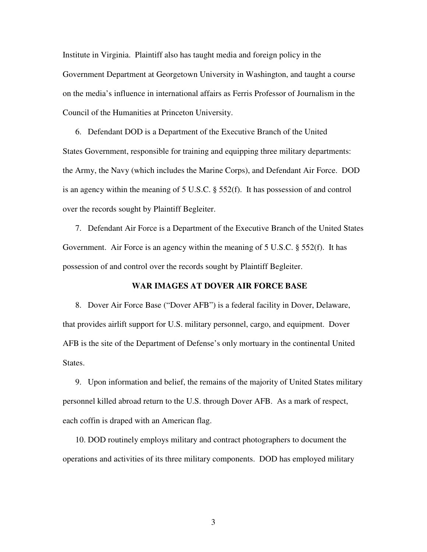Institute in Virginia. Plaintiff also has taught media and foreign policy in the Government Department at Georgetown University in Washington, and taught a course on the media's influence in international affairs as Ferris Professor of Journalism in the Council of the Humanities at Princeton University.

6. Defendant DOD is a Department of the Executive Branch of the United States Government, responsible for training and equipping three military departments: the Army, the Navy (which includes the Marine Corps), and Defendant Air Force. DOD is an agency within the meaning of 5 U.S.C. § 552(f). It has possession of and control over the records sought by Plaintiff Begleiter.

7. Defendant Air Force is a Department of the Executive Branch of the United States Government. Air Force is an agency within the meaning of 5 U.S.C. § 552(f). It has possession of and control over the records sought by Plaintiff Begleiter.

#### **WAR IMAGES AT DOVER AIR FORCE BASE**

8. Dover Air Force Base ("Dover AFB") is a federal facility in Dover, Delaware, that provides airlift support for U.S. military personnel, cargo, and equipment. Dover AFB is the site of the Department of Defense's only mortuary in the continental United States.

9. Upon information and belief, the remains of the majority of United States military personnel killed abroad return to the U.S. through Dover AFB. As a mark of respect, each coffin is draped with an American flag.

10. DOD routinely employs military and contract photographers to document the operations and activities of its three military components. DOD has employed military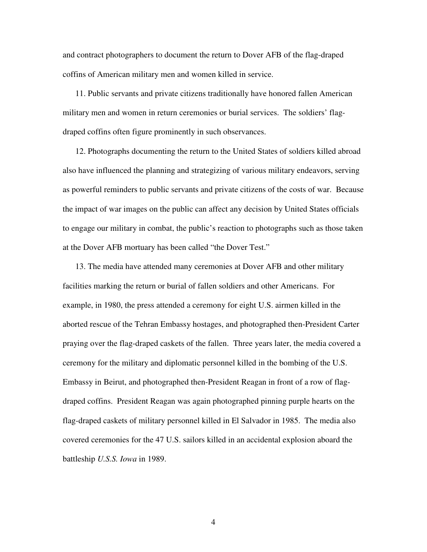and contract photographers to document the return to Dover AFB of the flag-draped coffins of American military men and women killed in service.

11. Public servants and private citizens traditionally have honored fallen American military men and women in return ceremonies or burial services. The soldiers' flagdraped coffins often figure prominently in such observances.

12. Photographs documenting the return to the United States of soldiers killed abroad also have influenced the planning and strategizing of various military endeavors, serving as powerful reminders to public servants and private citizens of the costs of war. Because the impact of war images on the public can affect any decision by United States officials to engage our military in combat, the public's reaction to photographs such as those taken at the Dover AFB mortuary has been called "the Dover Test."

13. The media have attended many ceremonies at Dover AFB and other military facilities marking the return or burial of fallen soldiers and other Americans. For example, in 1980, the press attended a ceremony for eight U.S. airmen killed in the aborted rescue of the Tehran Embassy hostages, and photographed then-President Carter praying over the flag-draped caskets of the fallen. Three years later, the media covered a ceremony for the military and diplomatic personnel killed in the bombing of the U.S. Embassy in Beirut, and photographed then-President Reagan in front of a row of flagdraped coffins. President Reagan was again photographed pinning purple hearts on the flag-draped caskets of military personnel killed in El Salvador in 1985. The media also covered ceremonies for the 47 U.S. sailors killed in an accidental explosion aboard the battleship *U.S.S. Iowa* in 1989.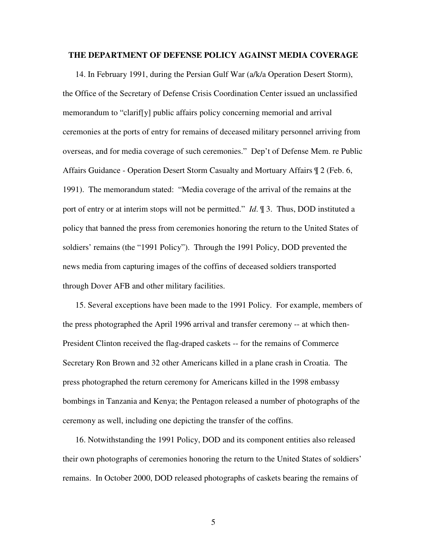#### **THE DEPARTMENT OF DEFENSE POLICY AGAINST MEDIA COVERAGE**

14. In February 1991, during the Persian Gulf War (a/k/a Operation Desert Storm), the Office of the Secretary of Defense Crisis Coordination Center issued an unclassified memorandum to "clarif[y] public affairs policy concerning memorial and arrival ceremonies at the ports of entry for remains of deceased military personnel arriving from overseas, and for media coverage of such ceremonies." Dep't of Defense Mem. re Public Affairs Guidance - Operation Desert Storm Casualty and Mortuary Affairs ¶ 2 (Feb. 6, 1991). The memorandum stated: "Media coverage of the arrival of the remains at the port of entry or at interim stops will not be permitted." *Id*. ¶ 3. Thus, DOD instituted a policy that banned the press from ceremonies honoring the return to the United States of soldiers' remains (the "1991 Policy"). Through the 1991 Policy, DOD prevented the news media from capturing images of the coffins of deceased soldiers transported through Dover AFB and other military facilities.

15. Several exceptions have been made to the 1991 Policy. For example, members of the press photographed the April 1996 arrival and transfer ceremony -- at which then-President Clinton received the flag-draped caskets -- for the remains of Commerce Secretary Ron Brown and 32 other Americans killed in a plane crash in Croatia. The press photographed the return ceremony for Americans killed in the 1998 embassy bombings in Tanzania and Kenya; the Pentagon released a number of photographs of the ceremony as well, including one depicting the transfer of the coffins.

16. Notwithstanding the 1991 Policy, DOD and its component entities also released their own photographs of ceremonies honoring the return to the United States of soldiers' remains. In October 2000, DOD released photographs of caskets bearing the remains of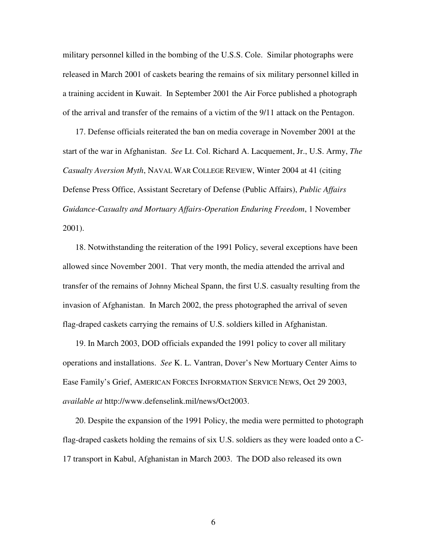military personnel killed in the bombing of the U.S.S. Cole. Similar photographs were released in March 2001 of caskets bearing the remains of six military personnel killed in a training accident in Kuwait. In September 2001 the Air Force published a photograph of the arrival and transfer of the remains of a victim of the 9/11 attack on the Pentagon.

17. Defense officials reiterated the ban on media coverage in November 2001 at the start of the war in Afghanistan. *See* Lt. Col. Richard A. Lacquement, Jr., U.S. Army, *The Casualty Aversion Myth*, NAVAL WAR COLLEGE REVIEW, Winter 2004 at 41 (citing Defense Press Office, Assistant Secretary of Defense (Public Affairs), *Public Affairs Guidance-Casualty and Mortuary Affairs-Operation Enduring Freedom*, 1 November 2001).

18. Notwithstanding the reiteration of the 1991 Policy, several exceptions have been allowed since November 2001. That very month, the media attended the arrival and transfer of the remains of Johnny Micheal Spann, the first U.S. casualty resulting from the invasion of Afghanistan. In March 2002, the press photographed the arrival of seven flag-draped caskets carrying the remains of U.S. soldiers killed in Afghanistan.

19. In March 2003, DOD officials expanded the 1991 policy to cover all military operations and installations. *See* K. L. Vantran, Dover's New Mortuary Center Aims to Ease Family's Grief, AMERICAN FORCES INFORMATION SERVICE NEWS, Oct 29 2003, *available at* http://www.defenselink.mil/news/Oct2003.

20. Despite the expansion of the 1991 Policy, the media were permitted to photograph flag-draped caskets holding the remains of six U.S. soldiers as they were loaded onto a C-17 transport in Kabul, Afghanistan in March 2003. The DOD also released its own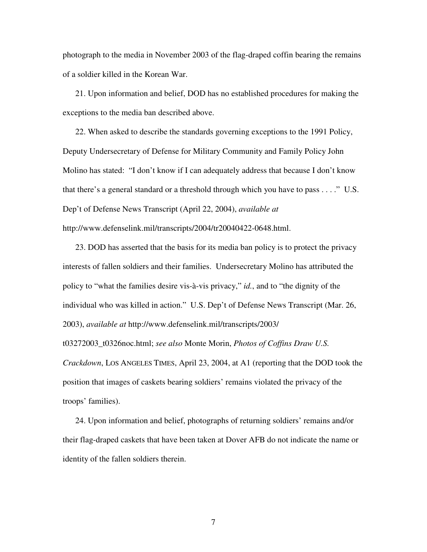photograph to the media in November 2003 of the flag-draped coffin bearing the remains of a soldier killed in the Korean War.

21. Upon information and belief, DOD has no established procedures for making the exceptions to the media ban described above.

22. When asked to describe the standards governing exceptions to the 1991 Policy, Deputy Undersecretary of Defense for Military Community and Family Policy John Molino has stated: "I don't know if I can adequately address that because I don't know that there's a general standard or a threshold through which you have to pass . . . ." U.S. Dep't of Defense News Transcript (April 22, 2004), *available at* http://www.defenselink.mil/transcripts/2004/tr20040422-0648.html.

23. DOD has asserted that the basis for its media ban policy is to protect the privacy interests of fallen soldiers and their families. Undersecretary Molino has attributed the policy to "what the families desire vis-à-vis privacy," *id.*, and to "the dignity of the individual who was killed in action." U.S. Dep't of Defense News Transcript (Mar. 26, 2003), *available at* http://www.defenselink.mil/transcripts/2003/ t03272003\_t0326noc.html; *see also* Monte Morin, *Photos of Coffins Draw U.S. Crackdown*, LOS ANGELES TIMES, April 23, 2004, at A1 (reporting that the DOD took the position that images of caskets bearing soldiers' remains violated the privacy of the troops' families).

24. Upon information and belief, photographs of returning soldiers' remains and/or their flag-draped caskets that have been taken at Dover AFB do not indicate the name or identity of the fallen soldiers therein.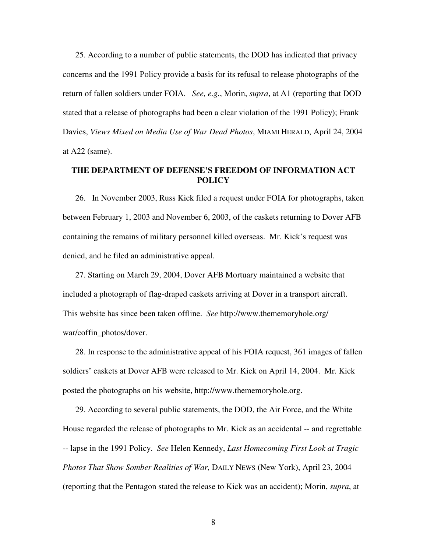25. According to a number of public statements, the DOD has indicated that privacy concerns and the 1991 Policy provide a basis for its refusal to release photographs of the return of fallen soldiers under FOIA. *See, e.g.*, Morin, *supra*, at A1 (reporting that DOD stated that a release of photographs had been a clear violation of the 1991 Policy); Frank Davies, *Views Mixed on Media Use of War Dead Photos*, MIAMI HERALD, April 24, 2004 at A22 (same).

### **THE DEPARTMENT OF DEFENSE'S FREEDOM OF INFORMATION ACT POLICY**

26. In November 2003, Russ Kick filed a request under FOIA for photographs, taken between February 1, 2003 and November 6, 2003, of the caskets returning to Dover AFB containing the remains of military personnel killed overseas. Mr. Kick's request was denied, and he filed an administrative appeal.

27. Starting on March 29, 2004, Dover AFB Mortuary maintained a website that included a photograph of flag-draped caskets arriving at Dover in a transport aircraft. This website has since been taken offline. *See* http://www.thememoryhole.org/ war/coffin\_photos/dover.

28. In response to the administrative appeal of his FOIA request, 361 images of fallen soldiers' caskets at Dover AFB were released to Mr. Kick on April 14, 2004. Mr. Kick posted the photographs on his website, http://www.thememoryhole.org.

29. According to several public statements, the DOD, the Air Force, and the White House regarded the release of photographs to Mr. Kick as an accidental -- and regrettable -- lapse in the 1991 Policy. *See* Helen Kennedy, *Last Homecoming First Look at Tragic Photos That Show Somber Realities of War,* DAILY NEWS (New York), April 23, 2004 (reporting that the Pentagon stated the release to Kick was an accident); Morin, *supra*, at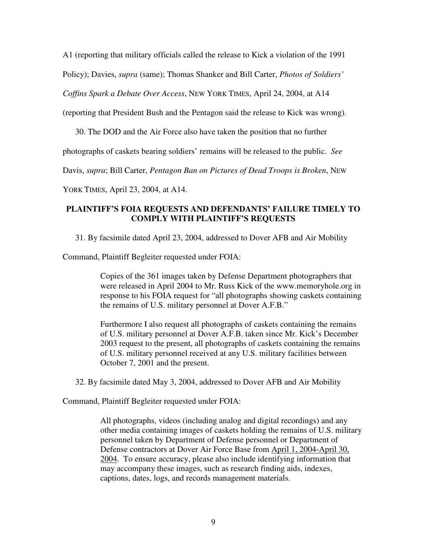A1 (reporting that military officials called the release to Kick a violation of the 1991

Policy); Davies, *supra* (same); Thomas Shanker and Bill Carter, *Photos of Soldiers'*

*Coffins Spark a Debate Over Access*, NEW YORK TIMES, April 24, 2004, at A14

(reporting that President Bush and the Pentagon said the release to Kick was wrong).

30. The DOD and the Air Force also have taken the position that no further

photographs of caskets bearing soldiers' remains will be released to the public. *See*

Davis, *supra*; Bill Carter, *Pentagon Ban on Pictures of Dead Troops is Broken*, NEW

YORK TIMES, April 23, 2004, at A14.

# **PLAINTIFF'S FOIA REQUESTS AND DEFENDANTS' FAILURE TIMELY TO COMPLY WITH PLAINTIFF'S REQUESTS**

31. By facsimile dated April 23, 2004, addressed to Dover AFB and Air Mobility

Command, Plaintiff Begleiter requested under FOIA:

Copies of the 361 images taken by Defense Department photographers that were released in April 2004 to Mr. Russ Kick of the www.memoryhole.org in response to his FOIA request for "all photographs showing caskets containing the remains of U.S. military personnel at Dover A.F.B."

Furthermore I also request all photographs of caskets containing the remains of U.S. military personnel at Dover A.F.B. taken since Mr. Kick's December 2003 request to the present, all photographs of caskets containing the remains of U.S. military personnel received at any U.S. military facilities between October 7, 2001 and the present.

32. By facsimile dated May 3, 2004, addressed to Dover AFB and Air Mobility

Command, Plaintiff Begleiter requested under FOIA:

All photographs, videos (including analog and digital recordings) and any other media containing images of caskets holding the remains of U.S. military personnel taken by Department of Defense personnel or Department of Defense contractors at Dover Air Force Base from April 1, 2004-April 30, 2004. To ensure accuracy, please also include identifying information that may accompany these images, such as research finding aids, indexes, captions, dates, logs, and records management materials.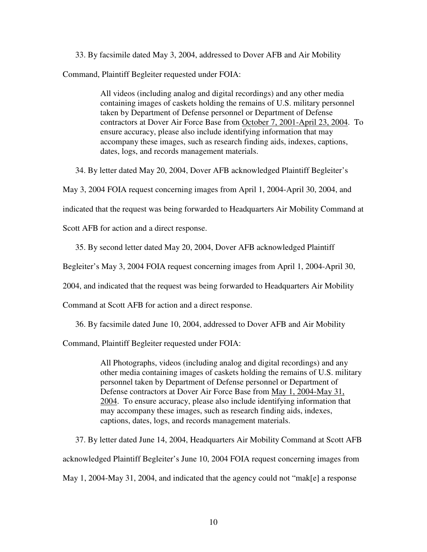33. By facsimile dated May 3, 2004, addressed to Dover AFB and Air Mobility Command, Plaintiff Begleiter requested under FOIA:

> All videos (including analog and digital recordings) and any other media containing images of caskets holding the remains of U.S. military personnel taken by Department of Defense personnel or Department of Defense contractors at Dover Air Force Base from October 7, 2001-April 23, 2004. To ensure accuracy, please also include identifying information that may accompany these images, such as research finding aids, indexes, captions, dates, logs, and records management materials.

34. By letter dated May 20, 2004, Dover AFB acknowledged Plaintiff Begleiter's

May 3, 2004 FOIA request concerning images from April 1, 2004-April 30, 2004, and

indicated that the request was being forwarded to Headquarters Air Mobility Command at

Scott AFB for action and a direct response.

35. By second letter dated May 20, 2004, Dover AFB acknowledged Plaintiff

Begleiter's May 3, 2004 FOIA request concerning images from April 1, 2004-April 30,

2004, and indicated that the request was being forwarded to Headquarters Air Mobility

Command at Scott AFB for action and a direct response.

36. By facsimile dated June 10, 2004, addressed to Dover AFB and Air Mobility

Command, Plaintiff Begleiter requested under FOIA:

All Photographs, videos (including analog and digital recordings) and any other media containing images of caskets holding the remains of U.S. military personnel taken by Department of Defense personnel or Department of Defense contractors at Dover Air Force Base from May 1, 2004-May 31, 2004. To ensure accuracy, please also include identifying information that may accompany these images, such as research finding aids, indexes, captions, dates, logs, and records management materials.

37. By letter dated June 14, 2004, Headquarters Air Mobility Command at Scott AFB acknowledged Plaintiff Begleiter's June 10, 2004 FOIA request concerning images from May 1, 2004-May 31, 2004, and indicated that the agency could not "mak[e] a response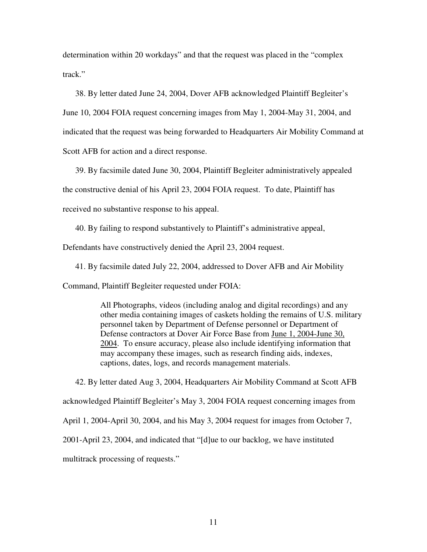determination within 20 workdays" and that the request was placed in the "complex track."

38. By letter dated June 24, 2004, Dover AFB acknowledged Plaintiff Begleiter's

June 10, 2004 FOIA request concerning images from May 1, 2004-May 31, 2004, and

indicated that the request was being forwarded to Headquarters Air Mobility Command at

Scott AFB for action and a direct response.

39. By facsimile dated June 30, 2004, Plaintiff Begleiter administratively appealed

the constructive denial of his April 23, 2004 FOIA request. To date, Plaintiff has

received no substantive response to his appeal.

40. By failing to respond substantively to Plaintiff's administrative appeal,

Defendants have constructively denied the April 23, 2004 request.

41. By facsimile dated July 22, 2004, addressed to Dover AFB and Air Mobility

Command, Plaintiff Begleiter requested under FOIA:

All Photographs, videos (including analog and digital recordings) and any other media containing images of caskets holding the remains of U.S. military personnel taken by Department of Defense personnel or Department of Defense contractors at Dover Air Force Base from June 1, 2004-June 30, 2004. To ensure accuracy, please also include identifying information that may accompany these images, such as research finding aids, indexes, captions, dates, logs, and records management materials.

42. By letter dated Aug 3, 2004, Headquarters Air Mobility Command at Scott AFB acknowledged Plaintiff Begleiter's May 3, 2004 FOIA request concerning images from April 1, 2004-April 30, 2004, and his May 3, 2004 request for images from October 7, 2001-April 23, 2004, and indicated that "[d]ue to our backlog, we have instituted multitrack processing of requests."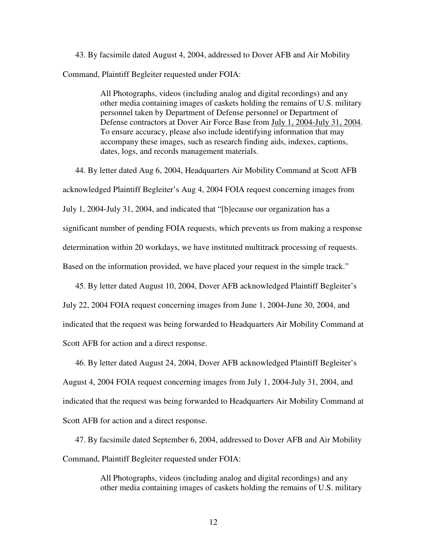43. By facsimile dated August 4, 2004, addressed to Dover AFB and Air Mobility Command, Plaintiff Begleiter requested under FOIA:

> All Photographs, videos (including analog and digital recordings) and any other media containing images of caskets holding the remains of U.S. military personnel taken by Department of Defense personnel or Department of Defense contractors at Dover Air Force Base from July 1, 2004-July 31, 2004. To ensure accuracy, please also include identifying information that may accompany these images, such as research finding aids, indexes, captions, dates, logs, and records management materials.

44. By letter dated Aug 6, 2004, Headquarters Air Mobility Command at Scott AFB acknowledged Plaintiff Begleiter's Aug 4, 2004 FOIA request concerning images from July 1, 2004-July 31, 2004, and indicated that "[b]ecause our organization has a significant number of pending FOIA requests, which prevents us from making a response determination within 20 workdays, we have instituted multitrack processing of requests. Based on the information provided, we have placed your request in the simple track."

45. By letter dated August 10, 2004, Dover AFB acknowledged Plaintiff Begleiter's July 22, 2004 FOIA request concerning images from June 1, 2004-June 30, 2004, and indicated that the request was being forwarded to Headquarters Air Mobility Command at Scott AFB for action and a direct response.

46. By letter dated August 24, 2004, Dover AFB acknowledged Plaintiff Begleiter's August 4, 2004 FOIA request concerning images from July 1, 2004-July 31, 2004, and indicated that the request was being forwarded to Headquarters Air Mobility Command at Scott AFB for action and a direct response.

47. By facsimile dated September 6, 2004, addressed to Dover AFB and Air Mobility Command, Plaintiff Begleiter requested under FOIA:

> All Photographs, videos (including analog and digital recordings) and any other media containing images of caskets holding the remains of U.S. military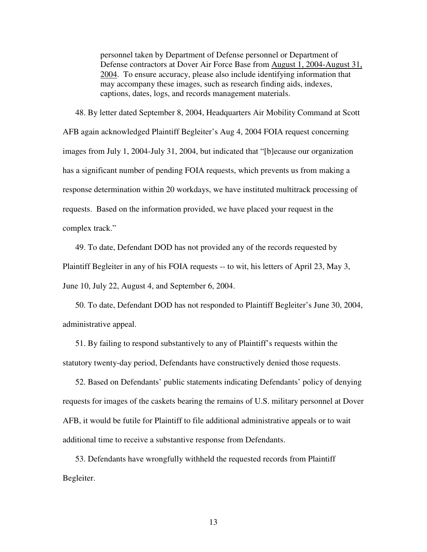personnel taken by Department of Defense personnel or Department of Defense contractors at Dover Air Force Base from August 1, 2004-August 31, 2004. To ensure accuracy, please also include identifying information that may accompany these images, such as research finding aids, indexes, captions, dates, logs, and records management materials.

48. By letter dated September 8, 2004, Headquarters Air Mobility Command at Scott AFB again acknowledged Plaintiff Begleiter's Aug 4, 2004 FOIA request concerning images from July 1, 2004-July 31, 2004, but indicated that "[b]ecause our organization has a significant number of pending FOIA requests, which prevents us from making a response determination within 20 workdays, we have instituted multitrack processing of requests. Based on the information provided, we have placed your request in the complex track."

49. To date, Defendant DOD has not provided any of the records requested by Plaintiff Begleiter in any of his FOIA requests -- to wit, his letters of April 23, May 3, June 10, July 22, August 4, and September 6, 2004.

50. To date, Defendant DOD has not responded to Plaintiff Begleiter's June 30, 2004, administrative appeal.

51. By failing to respond substantively to any of Plaintiff's requests within the statutory twenty-day period, Defendants have constructively denied those requests.

52. Based on Defendants' public statements indicating Defendants' policy of denying requests for images of the caskets bearing the remains of U.S. military personnel at Dover AFB, it would be futile for Plaintiff to file additional administrative appeals or to wait additional time to receive a substantive response from Defendants.

53. Defendants have wrongfully withheld the requested records from Plaintiff Begleiter.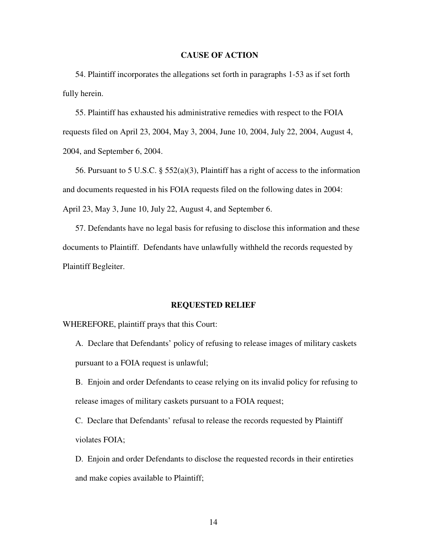### **CAUSE OF ACTION**

54. Plaintiff incorporates the allegations set forth in paragraphs 1-53 as if set forth fully herein.

55. Plaintiff has exhausted his administrative remedies with respect to the FOIA requests filed on April 23, 2004, May 3, 2004, June 10, 2004, July 22, 2004, August 4, 2004, and September 6, 2004.

56. Pursuant to 5 U.S.C. § 552(a)(3), Plaintiff has a right of access to the information and documents requested in his FOIA requests filed on the following dates in 2004: April 23, May 3, June 10, July 22, August 4, and September 6.

57. Defendants have no legal basis for refusing to disclose this information and these documents to Plaintiff. Defendants have unlawfully withheld the records requested by Plaintiff Begleiter.

#### **REQUESTED RELIEF**

WHEREFORE, plaintiff prays that this Court:

A. Declare that Defendants' policy of refusing to release images of military caskets pursuant to a FOIA request is unlawful;

B. Enjoin and order Defendants to cease relying on its invalid policy for refusing to release images of military caskets pursuant to a FOIA request;

C. Declare that Defendants' refusal to release the records requested by Plaintiff violates FOIA;

D. Enjoin and order Defendants to disclose the requested records in their entireties and make copies available to Plaintiff;